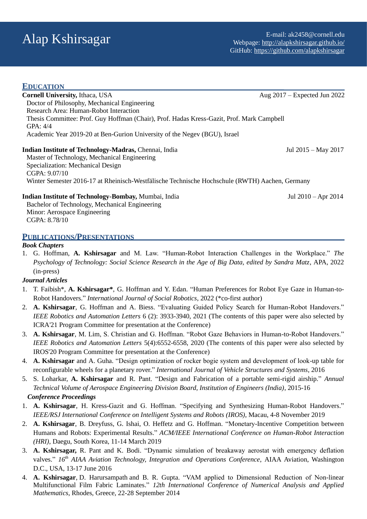| <b>EDUCATION</b>                                                                                      |                                |
|-------------------------------------------------------------------------------------------------------|--------------------------------|
| <b>Cornell University, Ithaca, USA</b>                                                                | Aug $2017$ – Expected Jun 2022 |
| Doctor of Philosophy, Mechanical Engineering                                                          |                                |
| Research Area: Human-Robot Interaction                                                                |                                |
| Thesis Committee: Prof. Guy Hoffman (Chair), Prof. Hadas Kress-Gazit, Prof. Mark Campbell<br>GPA: 4/4 |                                |
| Academic Year 2019-20 at Ben-Gurion University of the Negev (BGU), Israel                             |                                |
| Indian Institute of Technology-Madras, Chennai, India                                                 | Jul 2015 – May 2017            |
| Master of Technology, Mechanical Engineering                                                          |                                |
| Specialization: Mechanical Design                                                                     |                                |
| CGPA: $9.07/10$                                                                                       |                                |
| Winter Semester 2016-17 at Rheinisch-Westfälische Technische Hochschule (RWTH) Aachen, Germany        |                                |
| Indian Institute of Technology-Bombay, Mumbai, India                                                  | Jul $2010 -$ Apr $2014$        |
| Bachelor of Technology, Mechanical Engineering                                                        |                                |
| Minor: Aerospace Engineering                                                                          |                                |

CGPA: 8.78/10

#### **PUBLICATIONS/PRESENTATIONS**

#### *Book Chapters*

1. G. Hoffman, **A. Kshirsagar** and M. Law. "Human-Robot Interaction Challenges in the Workplace." *The Psychology of Technology: Social Science Research in the Age of Big Data, edited by Sandra Matz, APA, 2022* (in-press)

#### *Journal Articles*

- 1. T. Faibish\*, **A. Kshirsagar\***, G. Hoffman and Y. Edan. "Human Preferences for Robot Eye Gaze in Human-to-Robot Handovers." *International Journal of Social Robotics*, 2022 (\*co-first author)
- 2. **A. Kshirsagar**, G. Hoffman and A. Biess. "Evaluating Guided Policy Search for Human-Robot Handovers." *IEEE Robotics and Automation Letters* 6 (2): 3933-3940, 2021 (The contents of this paper were also selected by ICRA'21 Program Committee for presentation at the Conference)
- 3. **A. Kshirsagar**, M. Lim, S. Christian and G. Hoffman. "Robot Gaze Behaviors in Human-to-Robot Handovers." *IEEE Robotics and Automation Letters* 5(4):6552-6558, 2020 (The contents of this paper were also selected by IROS'20 Program Committee for presentation at the Conference)
- 4. **A. Kshirsagar** and A. Guha. "Design optimization of rocker bogie system and development of look-up table for reconfigurable wheels for a planetary rover." *International Journal of Vehicle Structures and Systems*, 2016
- 5. S. Loharkar, **A. Kshirsagar** and R. Pant. "Design and Fabrication of a portable semi-rigid airship." *Annual Technical Volume of Aerospace Engineering Division Board, Institution of Engineers (India)*, 2015-16

#### *Conference Proceedings*

- 1. **A. Kshirsagar**, H. Kress-Gazit and G. Hoffman. "Specifying and Synthesizing Human-Robot Handovers." *IEEE/RSJ International Conference on Intelligent Systems and Robots (IROS)*, Macau, 4-8 November 2019
- 2. **A. Kshirsagar**, B. Dreyfuss, G. Ishai, O. Heffetz and G. Hoffman. "Monetary-Incentive Competition between Humans and Robots: Experimental Results." *ACM/IEEE International Conference on Human-Robot Interaction (HRI)*, Daegu, South Korea, 11-14 March 2019
- 3. **A. Kshirsagar,** R. Pant and K. Bodi. "Dynamic simulation of breakaway aerostat with emergency deflation valves." *16th AIAA Aviation Technology, Integration and Operations Conference*, AIAA Aviation, Washington D.C., USA, 13-17 June 2016
- 4. **A. Kshirsagar**, D. Harursampath and B. R. Gupta. "VAM applied to Dimensional Reduction of Non-linear Multifunctional Film Fabric Laminates." *12th International Conference of Numerical Analysis and Applied Mathematics*, Rhodes, Greece, 22-28 September 2014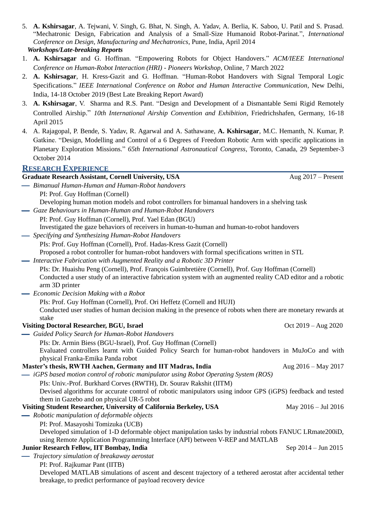5. **A. Kshirsagar**, A. Tejwani, V. Singh, G. Bhat, N. Singh, A. Yadav, A. Berlia, K. Saboo, U. Patil and S. Prasad. "Mechatronic Design, Fabrication and Analysis of a Small-Size Humanoid Robot-Parinat.", *International Conference on Design, Manufacturing and Mechatronics*, Pune, India, April 2014

```
Workshops/Late-breaking Reports
```
- 1. **A. Kshirsagar** and G. Hoffman. "Empowering Robots for Object Handovers." *ACM/IEEE International Conference on Human-Robot Interaction (HRI) - Pioneers Workshop*, Online, 7 March 2022
- 2. **A. Kshirsagar**, H. Kress-Gazit and G. Hoffman. "Human-Robot Handovers with Signal Temporal Logic Specifications." *IEEE International Conference on Robot and Human Interactive Communication*, New Delhi, India, 14-18 October 2019 (Best Late Breaking Report Award)
- 3. **A. Kshirsagar**, V. Sharma and R.S. Pant. "Design and Development of a Dismantable Semi Rigid Remotely Controlled Airship." *10th International Airship Convention and Exhibition*, Friedrichshafen, Germany, 16-18 April 2015
- 4. A. Rajagopal, P. Bende, S. Yadav, R. Agarwal and A. Sathawane, **A. Kshirsagar**, M.C. Hemanth, N. Kumar, P. Gatkine. "Design, Modelling and Control of a 6 Degrees of Freedom Robotic Arm with specific applications in Planetary Exploration Missions." *65th International Astronautical Congress*, Toronto, Canada, 29 September-3 October 2014

## **RESEARCH EXPERIENCE**

| <b>Graduate Research Assistant, Cornell University, USA</b> | Aug $2017$ – Present |
|-------------------------------------------------------------|----------------------|
| - Bimanual Human-Human and Human-Robot handovers            |                      |

PI: Prof. Guy Hoffman (Cornell)

Developing human motion models and robot controllers for bimanual handovers in a shelving task

*Gaze Behaviours in Human-Human and Human-Robot Handovers*

PI: Prof. Guy Hoffman (Cornell), Prof. Yael Edan (BGU)

Investigated the gaze behaviors of receivers in human-to-human and human-to-robot handovers

*Specifying and Synthesizing Human-Robot Handovers*

PIs: Prof. Guy Hoffman (Cornell), Prof. Hadas-Kress Gazit (Cornell)

Proposed a robot controller for human-robot handovers with formal specifications written in STL

*Interactive Fabrication with Augmented Reality and a Robotic 3D Printer*

PIs: Dr. Huaishu Peng (Cornell), Prof. François Guimbretière (Cornell), Prof. Guy Hoffman (Cornell) Conducted a user study of an interactive fabrication system with an augmented reality CAD editor and a robotic arm 3D printer

- *Economic Decision Making with a Robot*
	- PIs: Prof. Guy Hoffman (Cornell), Prof. Ori Heffetz (Cornell and HUJI)

Conducted user studies of human decision making in the presence of robots when there are monetary rewards at stake

## **Visiting Doctoral Researcher, BGU, Israel** Oct 2019 – Aug 2020

*Guided Policy Search for Human-Robot Handovers*

PIs: Dr. Armin Biess (BGU-Israel), Prof. Guy Hoffman (Cornell) Evaluated controllers learnt with Guided Policy Search for human-robot handovers in MuJoCo and with physical Franka-Emika Panda robot

## **Master's thesis, RWTH Aachen, Germany and IIT Madras, India** Aug 2016 – May 2017

*iGPS based motion control of robotic manipulator using Robot Operating System (ROS)*

PIs: Univ.-Prof. Burkhard Corves (RWTH), Dr. Sourav Rakshit (IITM)

Devised algorithms for accurate control of robotic manipulators using indoor GPS (iGPS) feedback and tested them in Gazebo and on physical UR-5 robot

## **Visiting Student Researcher, University of California Berkeley, USA** May 2016 – Jul 2016

- *Robotic manipulation of deformable objects*
	- PI: Prof. Masayoshi Tomizuka (UCB)

Developed simulation of 1-D deformable object manipulation tasks by industrial robots FANUC LRmate200iD, using Remote Application Programming Interface (API) between V-REP and MATLAB

#### **Junior Research Fellow, IIT Bombay, India** Sep 2014 – Jun 2015

*Trajectory simulation of breakaway aerostat*

PI: Prof. Rajkumar Pant (IITB)

Developed MATLAB simulations of ascent and descent trajectory of a tethered aerostat after accidental tether breakage, to predict performance of payload recovery device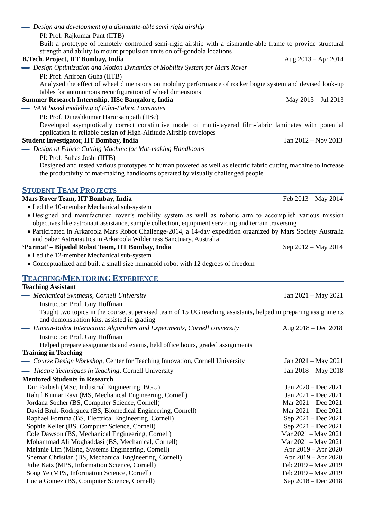| - Design and development of a dismantle-able semi rigid airship                                                                                                                |                         |
|--------------------------------------------------------------------------------------------------------------------------------------------------------------------------------|-------------------------|
| PI: Prof. Rajkumar Pant (IITB)                                                                                                                                                 |                         |
| Built a prototype of remotely controlled semi-rigid airship with a dismantle-able frame to provide structural                                                                  |                         |
| strength and ability to mount propulsion units on off-gondola locations                                                                                                        |                         |
| <b>B.Tech. Project, IIT Bombay, India</b>                                                                                                                                      | Aug $2013 -$ Apr $2014$ |
| - Design Optimization and Motion Dynamics of Mobility System for Mars Rover                                                                                                    |                         |
| PI: Prof. Anirban Guha (IITB)                                                                                                                                                  |                         |
| Analysed the effect of wheel dimensions on mobility performance of rocker bogie system and devised look-up                                                                     |                         |
| tables for autonomous reconfiguration of wheel dimensions                                                                                                                      |                         |
| Summer Research Internship, IISc Bangalore, India                                                                                                                              | May $2013 -$ Jul 2013   |
| - VAM based modelling of Film-Fabric Laminates                                                                                                                                 |                         |
| PI: Prof. Dineshkumar Harursampath (IISc)                                                                                                                                      |                         |
| Developed asymptotically correct constitutive model of multi-layered film-fabric laminates with potential<br>application in reliable design of High-Altitude Airship envelopes |                         |
| <b>Student Investigator, IIT Bombay, India</b>                                                                                                                                 | Jan 2012 - Nov 2013     |
| - Design of Fabric Cutting Machine for Mat-making Handlooms                                                                                                                    |                         |
| PI: Prof. Suhas Joshi (IITB)                                                                                                                                                   |                         |
| Designed and tested various prototypes of human powered as well as electric fabric cutting machine to increase                                                                 |                         |
| the productivity of mat-making handlooms operated by visually challenged people                                                                                                |                         |
|                                                                                                                                                                                |                         |
| <b>STUDENT TEAM PROJECTS</b>                                                                                                                                                   |                         |
| Mars Rover Team, IIT Bombay, India                                                                                                                                             | Feb 2013 - May 2014     |
| • Led the 10-member Mechanical sub-system                                                                                                                                      |                         |
| · Designed and manufactured rover's mobility system as well as robotic arm to accomplish various mission                                                                       |                         |
| objectives like astronaut assistance, sample collection, equipment servicing and terrain traversing                                                                            |                         |
| · Participated in Arkaroola Mars Robot Challenge-2014, a 14-day expedition organized by Mars Society Australia                                                                 |                         |
| and Saber Astronautics in Arkaroola Wilderness Sanctuary, Australia                                                                                                            |                         |
| 'Parinat' - Bipedal Robot Team, IIT Bombay, India                                                                                                                              | Sep 2012 – May 2014     |
| • Led the 12-member Mechanical sub-system                                                                                                                                      |                         |
| • Conceptualized and built a small size humanoid robot with 12 degrees of freedom                                                                                              |                         |
|                                                                                                                                                                                |                         |
| <b>TEACHING/MENTORING EXPERIENCE</b>                                                                                                                                           |                         |
| <b>Teaching Assistant</b>                                                                                                                                                      |                         |
| - Mechanical Synthesis, Cornell University                                                                                                                                     | Jan $2021 - May 2021$   |
| Instructor: Prof. Guy Hoffman                                                                                                                                                  |                         |
| Taught two topics in the course, supervised team of 15 UG teaching assistants, helped in preparing assignments                                                                 |                         |
| and demonstration kits, assisted in grading                                                                                                                                    |                         |
|                                                                                                                                                                                |                         |

*Human-Robot Interaction: Algorithms and Experiments, Cornell University* Aug 2018 – Dec 2018 Instructor: Prof. Guy Hoffman Helped prepare assignments and exams, held office hours, graded assignments

# **Training in Teaching**

| — Course Design Workshop, Center for Teaching Innovation, Cornell University | Jan $2021 - May 2021$   |
|------------------------------------------------------------------------------|-------------------------|
| - Theatre Techniques in Teaching, Cornell University                         | Jan 2018 – May 2018     |
| <b>Mentored Students in Research</b>                                         |                         |
| Tair Faibish (MSc, Industrial Engineering, BGU)                              | Jan $2020 - Dec 2021$   |
| Rahul Kumar Ravi (MS, Mechanical Engineering, Cornell)                       | Jan $2021 - Dec 2021$   |
| Jordana Socher (BS, Computer Science, Cornell)                               | Mar $2021 - Dec 2021$   |
| David Bruk-Rodriguez (BS, Biomedical Engineering, Cornell)                   | Mar $2021 - Dec 2021$   |
| Raphael Fortuna (BS, Electrical Engineering, Cornell)                        | Sep $2021 - Dec 2021$   |
| Sophie Keller (BS, Computer Science, Cornell)                                | Sep $2021 - Dec 2021$   |
| Cole Dawson (BS, Mechanical Engineering, Cornell)                            | Mar $2021 -$ May 2021   |
| Mohammad Ali Moghaddasi (BS, Mechanical, Cornell)                            | Mar $2021 -$ May $2021$ |
| Melanie Lim (MEng, Systems Engineering, Cornell)                             | Apr $2019 -$ Apr $2020$ |
| Shemar Christian (BS, Mechanical Engineering, Cornell)                       | Apr $2019 -$ Apr $2020$ |
| Julie Katz (MPS, Information Science, Cornell)                               | Feb 2019 – May 2019     |
| Song Ye (MPS, Information Science, Cornell)                                  | Feb 2019 – May 2019     |
| Lucia Gomez (BS, Computer Science, Cornell)                                  | Sep 2018 – Dec 2018     |
|                                                                              |                         |